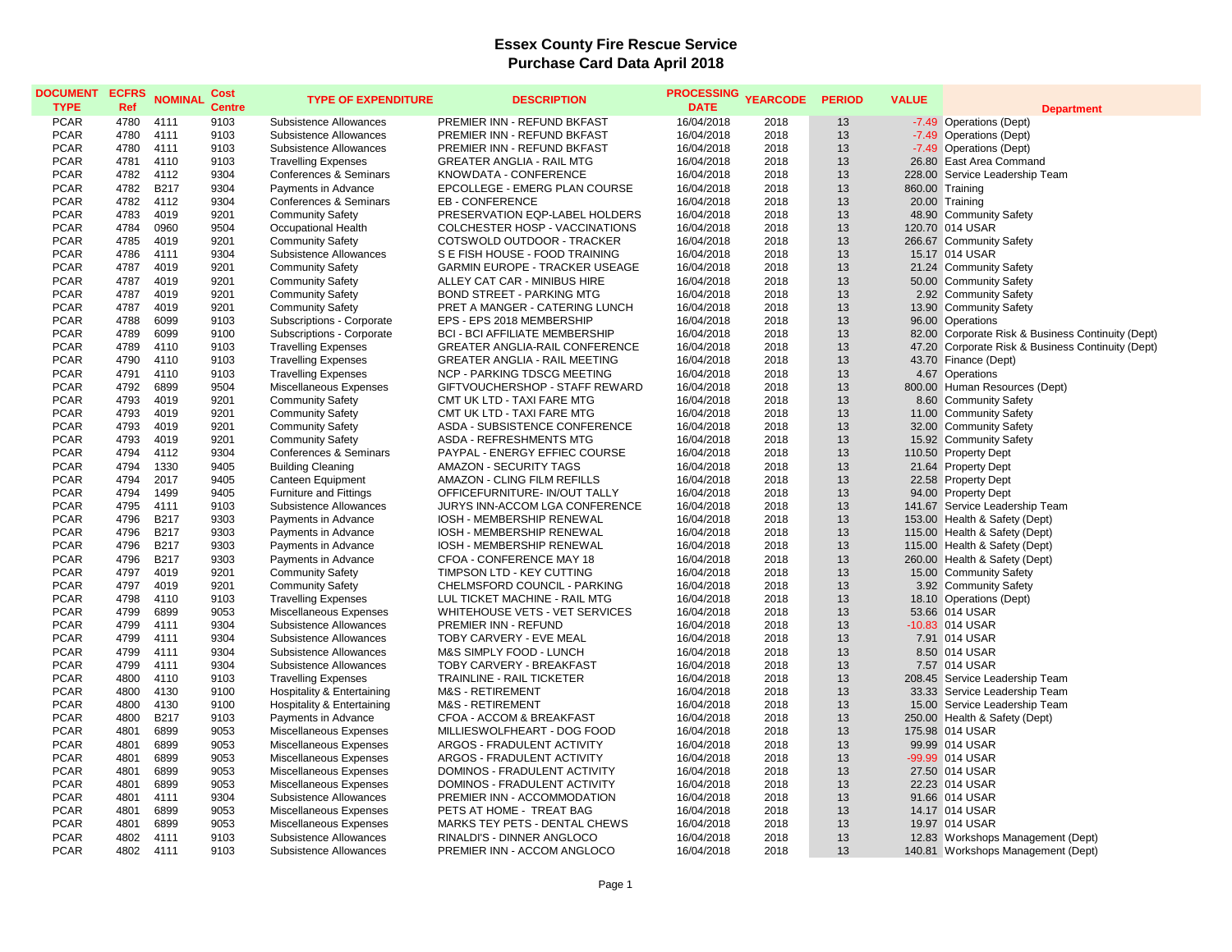| <b>DOCUMENT</b><br><b>TYPE</b> | <b>ECFRS</b><br>Ref | <b>NOMINAL</b> | Cost<br><b>Centre</b> | <b>TYPE OF EXPENDITURE</b>    | <b>DESCRIPTION</b>                    | PROCESSING YEARCODE<br><b>DATE</b> |      | <b>PERIOD</b> | <b>VALUE</b> | <b>Department</b>                                 |
|--------------------------------|---------------------|----------------|-----------------------|-------------------------------|---------------------------------------|------------------------------------|------|---------------|--------------|---------------------------------------------------|
| <b>PCAR</b>                    | 4780                | 4111           | 9103                  | Subsistence Allowances        | PREMIER INN - REFUND BKFAST           | 16/04/2018                         | 2018 | 13            |              | -7.49 Operations (Dept)                           |
| <b>PCAR</b>                    | 4780                | 4111           | 9103                  | Subsistence Allowances        | PREMIER INN - REFUND BKFAST           | 16/04/2018                         | 2018 | 13            |              | -7.49 Operations (Dept)                           |
| <b>PCAR</b>                    | 4780                | 4111           | 9103                  | Subsistence Allowances        | PREMIER INN - REFUND BKFAST           | 16/04/2018                         | 2018 | 13            |              | -7.49 Operations (Dept)                           |
| <b>PCAR</b>                    | 4781                | 4110           | 9103                  | <b>Travelling Expenses</b>    | <b>GREATER ANGLIA - RAIL MTG</b>      | 16/04/2018                         | 2018 | 13            |              | 26.80 East Area Command                           |
| <b>PCAR</b>                    | 4782                | 4112           | 9304                  | Conferences & Seminars        | KNOWDATA - CONFERENCE                 | 16/04/2018                         | 2018 | 13            |              | 228.00 Service Leadership Team                    |
| <b>PCAR</b>                    | 4782                | <b>B217</b>    | 9304                  | Payments in Advance           | EPCOLLEGE - EMERG PLAN COURSE         | 16/04/2018                         | 2018 | 13            |              | 860.00 Training                                   |
| <b>PCAR</b>                    | 4782                | 4112           | 9304                  | Conferences & Seminars        | EB - CONFERENCE                       | 16/04/2018                         | 2018 | 13            |              | 20.00 Training                                    |
| <b>PCAR</b>                    | 4783                | 4019           | 9201                  | <b>Community Safety</b>       | PRESERVATION EQP-LABEL HOLDERS        | 16/04/2018                         | 2018 | 13            |              | 48.90 Community Safety                            |
| <b>PCAR</b>                    | 4784                | 0960           | 9504                  | Occupational Health           | COLCHESTER HOSP - VACCINATIONS        | 16/04/2018                         | 2018 | 13            |              | 120.70 014 USAR                                   |
| <b>PCAR</b>                    | 4785                | 4019           | 9201                  | <b>Community Safety</b>       | COTSWOLD OUTDOOR - TRACKER            | 16/04/2018                         | 2018 | 13            |              | 266.67 Community Safety                           |
| <b>PCAR</b>                    | 4786                | 4111           | 9304                  | Subsistence Allowances        | S E FISH HOUSE - FOOD TRAINING        | 16/04/2018                         | 2018 | 13            |              | 15.17 014 USAR                                    |
| <b>PCAR</b>                    | 4787                | 4019           | 9201                  | <b>Community Safety</b>       | <b>GARMIN EUROPE - TRACKER USEAGE</b> | 16/04/2018                         | 2018 | 13            |              | 21.24 Community Safety                            |
| <b>PCAR</b>                    | 4787                | 4019           | 9201                  | <b>Community Safety</b>       | ALLEY CAT CAR - MINIBUS HIRE          | 16/04/2018                         | 2018 | 13            |              | 50.00 Community Safety                            |
| <b>PCAR</b>                    | 4787                | 4019           | 9201                  | <b>Community Safety</b>       | <b>BOND STREET - PARKING MTG</b>      | 16/04/2018                         | 2018 | 13            |              | 2.92 Community Safety                             |
| <b>PCAR</b>                    | 4787                | 4019           | 9201                  | <b>Community Safety</b>       | PRET A MANGER - CATERING LUNCH        | 16/04/2018                         | 2018 | 13            |              | 13.90 Community Safety                            |
| <b>PCAR</b>                    | 4788                | 6099           | 9103                  | Subscriptions - Corporate     | EPS - EPS 2018 MEMBERSHIP             | 16/04/2018                         | 2018 | 13            |              | 96.00 Operations                                  |
| <b>PCAR</b>                    | 4789                | 6099           | 9100                  | Subscriptions - Corporate     | <b>BCI - BCI AFFILIATE MEMBERSHIP</b> | 16/04/2018                         | 2018 | 13            |              | 82.00 Corporate Risk & Business Continuity (Dept) |
| <b>PCAR</b>                    | 4789                | 4110           | 9103                  | <b>Travelling Expenses</b>    | GREATER ANGLIA-RAIL CONFERENCE        | 16/04/2018                         | 2018 | 13            |              | 47.20 Corporate Risk & Business Continuity (Dept) |
| <b>PCAR</b>                    | 4790                | 4110           | 9103                  | <b>Travelling Expenses</b>    | <b>GREATER ANGLIA - RAIL MEETING</b>  | 16/04/2018                         | 2018 | 13            |              | 43.70 Finance (Dept)                              |
| <b>PCAR</b>                    | 4791                | 4110           | 9103                  | <b>Travelling Expenses</b>    | <b>NCP - PARKING TDSCG MEETING</b>    | 16/04/2018                         | 2018 | 13            |              | 4.67 Operations                                   |
| <b>PCAR</b>                    | 4792                | 6899           | 9504                  | Miscellaneous Expenses        | GIFTVOUCHERSHOP - STAFF REWARD        | 16/04/2018                         | 2018 | 13            |              | 800.00 Human Resources (Dept)                     |
| <b>PCAR</b>                    | 4793                | 4019           | 9201                  | <b>Community Safety</b>       | CMT UK LTD - TAXI FARE MTG            | 16/04/2018                         | 2018 | 13            |              | 8.60 Community Safety                             |
| <b>PCAR</b>                    | 4793                | 4019           | 9201                  | <b>Community Safety</b>       | CMT UK LTD - TAXI FARE MTG            | 16/04/2018                         | 2018 | 13            |              | 11.00 Community Safety                            |
| <b>PCAR</b>                    | 4793                | 4019           | 9201                  | <b>Community Safety</b>       | ASDA - SUBSISTENCE CONFERENCE         | 16/04/2018                         | 2018 | 13            |              | 32.00 Community Safety                            |
| <b>PCAR</b>                    | 4793                | 4019           | 9201                  | <b>Community Safety</b>       | ASDA - REFRESHMENTS MTG               | 16/04/2018                         | 2018 | 13            |              | 15.92 Community Safety                            |
| <b>PCAR</b>                    | 4794                | 4112           | 9304                  | Conferences & Seminars        | PAYPAL - ENERGY EFFIEC COURSE         | 16/04/2018                         | 2018 | 13            |              | 110.50 Property Dept                              |
| <b>PCAR</b>                    | 4794                | 1330           | 9405                  | <b>Building Cleaning</b>      | <b>AMAZON - SECURITY TAGS</b>         | 16/04/2018                         | 2018 | 13            |              | 21.64 Property Dept                               |
| <b>PCAR</b>                    | 4794                | 2017           | 9405                  | Canteen Equipment             | AMAZON - CLING FILM REFILLS           | 16/04/2018                         | 2018 | 13            |              | 22.58 Property Dept                               |
| <b>PCAR</b>                    | 4794                | 1499           | 9405                  | <b>Furniture and Fittings</b> | OFFICEFURNITURE- IN/OUT TALLY         | 16/04/2018                         | 2018 | 13            |              | 94.00 Property Dept                               |
| <b>PCAR</b>                    | 4795                | 4111           | 9103                  | Subsistence Allowances        | <b>JURYS INN-ACCOM LGA CONFERENCE</b> | 16/04/2018                         | 2018 | 13            |              | 141.67 Service Leadership Team                    |
| <b>PCAR</b>                    | 4796                | <b>B217</b>    | 9303                  | Payments in Advance           | IOSH - MEMBERSHIP RENEWAL             | 16/04/2018                         | 2018 | 13            |              | 153.00 Health & Safety (Dept)                     |
| <b>PCAR</b>                    | 4796                | <b>B217</b>    | 9303                  | Payments in Advance           | <b>IOSH - MEMBERSHIP RENEWAL</b>      | 16/04/2018                         | 2018 | 13            |              | 115.00 Health & Safety (Dept)                     |
| PCAR                           | 4796                | <b>B217</b>    | 9303                  | Payments in Advance           | IOSH - MEMBERSHIP RENEWAL             | 16/04/2018                         | 2018 | 13            |              | 115.00 Health & Safety (Dept)                     |
| <b>PCAR</b>                    | 4796                | <b>B217</b>    | 9303                  | Payments in Advance           | CFOA - CONFERENCE MAY 18              | 16/04/2018                         | 2018 | 13            |              | 260.00 Health & Safety (Dept)                     |
| <b>PCAR</b>                    | 4797                | 4019           | 9201                  | <b>Community Safety</b>       | TIMPSON LTD - KEY CUTTING             | 16/04/2018                         | 2018 | 13            |              | 15.00 Community Safety                            |
| <b>PCAR</b>                    | 4797                | 4019           | 9201                  | <b>Community Safety</b>       | CHELMSFORD COUNCIL - PARKING          | 16/04/2018                         | 2018 | 13            |              | 3.92 Community Safety                             |
| <b>PCAR</b>                    | 4798                | 4110           | 9103                  | <b>Travelling Expenses</b>    | LUL TICKET MACHINE - RAIL MTG         | 16/04/2018                         | 2018 | 13            |              | 18.10 Operations (Dept)                           |
| <b>PCAR</b>                    | 4799                | 6899           | 9053                  | Miscellaneous Expenses        | WHITEHOUSE VETS - VET SERVICES        | 16/04/2018                         | 2018 | 13            |              | 53.66 014 USAR                                    |
| <b>PCAR</b>                    | 4799                | 4111           | 9304                  | Subsistence Allowances        | <b>PREMIER INN - REFUND</b>           | 16/04/2018                         | 2018 | 13            |              | -10.83 014 USAR                                   |
| <b>PCAR</b>                    | 4799                | 4111           | 9304                  | Subsistence Allowances        | TOBY CARVERY - EVE MEAL               | 16/04/2018                         | 2018 | 13            |              | 7.91 014 USAR                                     |
| <b>PCAR</b>                    | 4799                | 4111           | 9304                  | Subsistence Allowances        | M&S SIMPLY FOOD - LUNCH               | 16/04/2018                         | 2018 | 13            |              | 8.50 014 USAR                                     |
| <b>PCAR</b>                    | 4799                | 4111           | 9304                  | Subsistence Allowances        | TOBY CARVERY - BREAKFAST              | 16/04/2018                         | 2018 | 13            |              | 7.57 014 USAR                                     |
| <b>PCAR</b>                    | 4800                | 4110           | 9103                  | <b>Travelling Expenses</b>    | <b>TRAINLINE - RAIL TICKETER</b>      | 16/04/2018                         | 2018 | 13            |              | 208.45 Service Leadership Team                    |
| <b>PCAR</b>                    | 4800                | 4130           | 9100                  | Hospitality & Entertaining    | <b>M&amp;S - RETIREMENT</b>           | 16/04/2018                         | 2018 | 13            |              | 33.33 Service Leadership Team                     |
| <b>PCAR</b>                    | 4800                | 4130           | 9100                  | Hospitality & Entertaining    | M&S - RETIREMENT                      | 16/04/2018                         | 2018 | 13            |              | 15.00 Service Leadership Team                     |
| <b>PCAR</b>                    | 4800                | <b>B217</b>    | 9103                  | Payments in Advance           | CFOA - ACCOM & BREAKFAST              | 16/04/2018                         | 2018 | 13            |              | 250.00 Health & Safety (Dept)                     |
| <b>PCAR</b>                    | 4801                | 6899           | 9053                  | Miscellaneous Expenses        | MILLIESWOLFHEART - DOG FOOD           | 16/04/2018                         | 2018 | 13            |              | 175.98 014 USAR                                   |
| <b>PCAR</b>                    | 4801                | 6899           | 9053                  | Miscellaneous Expenses        | ARGOS - FRADULENT ACTIVITY            | 16/04/2018                         | 2018 | 13            |              | 99.99 014 USAR                                    |
| <b>PCAR</b>                    | 4801                | 6899           | 9053                  | Miscellaneous Expenses        | ARGOS - FRADULENT ACTIVITY            | 16/04/2018                         | 2018 | 13            |              | -99.99 014 USAR                                   |
| <b>PCAR</b>                    | 4801                | 6899           | 9053                  | Miscellaneous Expenses        | DOMINOS - FRADULENT ACTIVITY          | 16/04/2018                         | 2018 | 13            |              | 27.50 014 USAR                                    |
| PCAR                           | 4801                | 6899           | 9053                  | Miscellaneous Expenses        | DOMINOS - FRADULENT ACTIVITY          | 16/04/2018                         | 2018 | 13            |              | 22.23 014 USAR                                    |
| <b>PCAR</b>                    | 4801                | 4111           | 9304                  | Subsistence Allowances        | PREMIER INN - ACCOMMODATION           | 16/04/2018                         | 2018 | 13            |              | 91.66 014 USAR                                    |
| <b>PCAR</b>                    | 4801                | 6899           | 9053                  | Miscellaneous Expenses        | PETS AT HOME - TREAT BAG              | 16/04/2018                         | 2018 | 13            |              | 14.17 014 USAR                                    |
| <b>PCAR</b>                    | 4801                | 6899           | 9053                  | Miscellaneous Expenses        | MARKS TEY PETS - DENTAL CHEWS         | 16/04/2018                         | 2018 | 13            |              | 19.97 014 USAR                                    |
| <b>PCAR</b>                    | 4802                | 4111           | 9103                  | Subsistence Allowances        | RINALDI'S - DINNER ANGLOCO            | 16/04/2018                         | 2018 | 13            |              | 12.83 Workshops Management (Dept)                 |
| <b>PCAR</b>                    | 4802                | 4111           | 9103                  | Subsistence Allowances        | PREMIER INN - ACCOM ANGLOCO           | 16/04/2018                         | 2018 | 13            |              | 140.81 Workshops Management (Dept)                |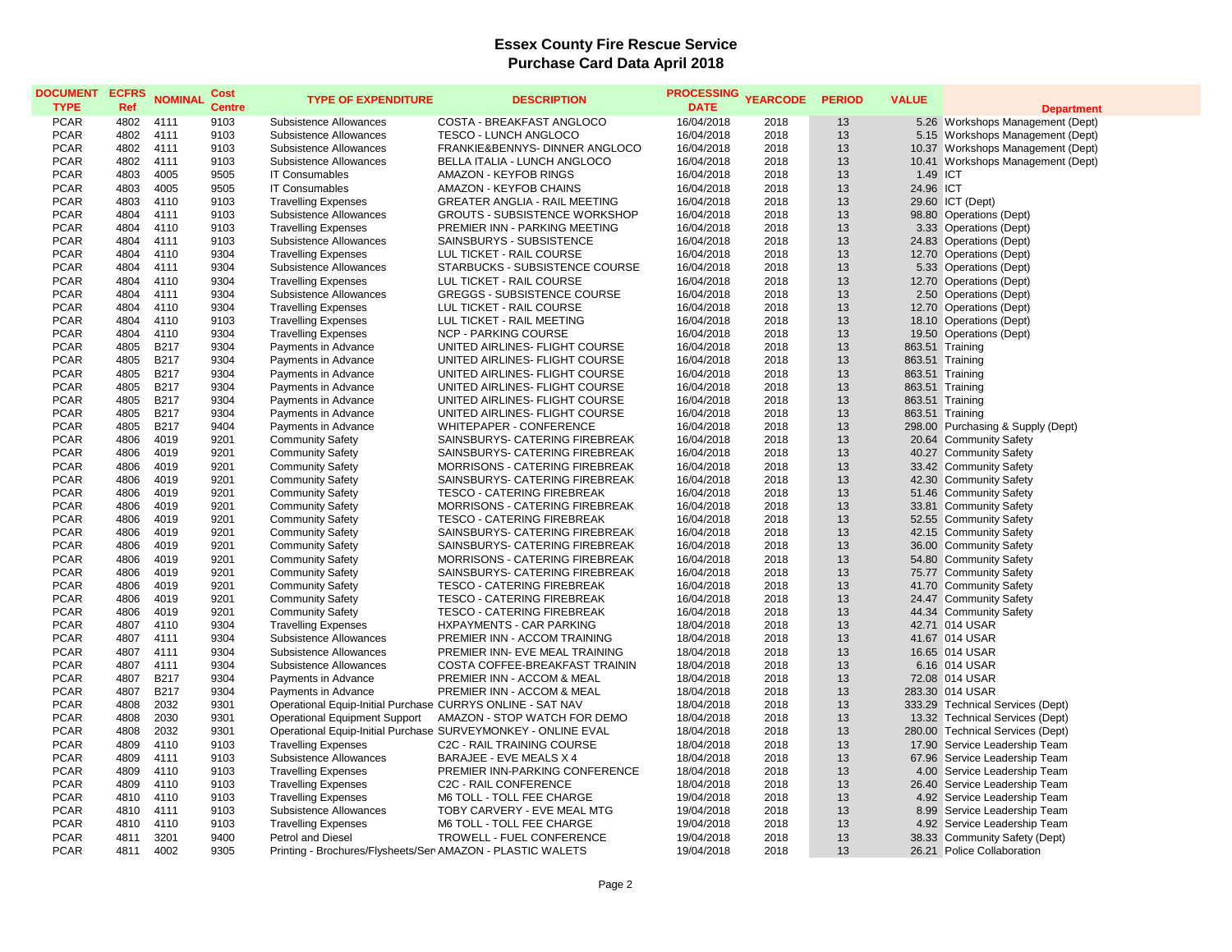| <b>DOCUMENT</b><br><b>TYPE</b> | <b>ECFRS</b><br>Ref | <b>NOMINAL</b>   | Cost<br><b>Centre</b> | <b>TYPE OF EXPENDITURE</b>                                 | <b>DESCRIPTION</b>                                            | <b>PROCESSING</b><br><b>DATE</b> | <b>YEARCODE</b> | <b>PERIOD</b> | <b>VALUE</b> | <b>Department</b>                                |
|--------------------------------|---------------------|------------------|-----------------------|------------------------------------------------------------|---------------------------------------------------------------|----------------------------------|-----------------|---------------|--------------|--------------------------------------------------|
| <b>PCAR</b>                    | 4802                | 4111             | 9103                  | Subsistence Allowances                                     | COSTA - BREAKFAST ANGLOCO                                     | 16/04/2018                       | 2018            | 13            |              | 5.26 Workshops Management (Dept)                 |
| <b>PCAR</b>                    | 4802                | 4111             | 9103                  | Subsistence Allowances                                     | TESCO - LUNCH ANGLOCO                                         | 16/04/2018                       | 2018            | 13            |              | 5.15 Workshops Management (Dept)                 |
| <b>PCAR</b>                    | 4802                | 4111             | 9103                  | Subsistence Allowances                                     | FRANKIE&BENNYS- DINNER ANGLOCO                                | 16/04/2018                       | 2018            | 13            |              | 10.37 Workshops Management (Dept)                |
| <b>PCAR</b>                    | 4802                | 4111             | 9103                  | Subsistence Allowances                                     | BELLA ITALIA - LUNCH ANGLOCO                                  | 16/04/2018                       | 2018            | 13            |              | 10.41 Workshops Management (Dept)                |
| <b>PCAR</b>                    | 4803                | 4005             | 9505                  | <b>IT Consumables</b>                                      | AMAZON - KEYFOB RINGS                                         | 16/04/2018                       | 2018            | 13            | 1.49 ICT     |                                                  |
| <b>PCAR</b>                    | 4803                | 4005             | 9505                  | <b>IT Consumables</b>                                      | AMAZON - KEYFOB CHAINS                                        | 16/04/2018                       | 2018            | 13            | 24.96 ICT    |                                                  |
| <b>PCAR</b>                    | 4803                | 4110             | 9103                  | <b>Travelling Expenses</b>                                 | <b>GREATER ANGLIA - RAIL MEETING</b>                          | 16/04/2018                       | 2018            | 13            |              | 29.60 ICT (Dept)                                 |
| <b>PCAR</b>                    | 4804                | 4111             | 9103                  | Subsistence Allowances                                     | <b>GROUTS - SUBSISTENCE WORKSHOP</b>                          | 16/04/2018                       | 2018            | 13            |              | 98.80 Operations (Dept)                          |
| <b>PCAR</b>                    | 4804                | 4110             | 9103                  | <b>Travelling Expenses</b>                                 | PREMIER INN - PARKING MEETING                                 | 16/04/2018                       | 2018            | 13            |              | 3.33 Operations (Dept)                           |
| <b>PCAR</b>                    | 4804                | 4111             | 9103                  | Subsistence Allowances                                     | SAINSBURYS - SUBSISTENCE                                      | 16/04/2018                       | 2018            | 13            |              | 24.83 Operations (Dept)                          |
| <b>PCAR</b>                    | 4804                | 4110             | 9304                  | <b>Travelling Expenses</b>                                 | LUL TICKET - RAIL COURSE                                      | 16/04/2018                       | 2018            | 13            |              | 12.70 Operations (Dept)                          |
| <b>PCAR</b>                    | 4804                | 4111             | 9304                  | Subsistence Allowances                                     | STARBUCKS - SUBSISTENCE COURSE                                | 16/04/2018                       | 2018            | 13            |              | 5.33 Operations (Dept)                           |
| <b>PCAR</b>                    | 4804                | 4110             | 9304                  | <b>Travelling Expenses</b>                                 | LUL TICKET - RAIL COURSE                                      | 16/04/2018                       | 2018            | 13            |              | 12.70 Operations (Dept)                          |
| <b>PCAR</b>                    | 4804                | 4111             | 9304                  | Subsistence Allowances                                     | <b>GREGGS - SUBSISTENCE COURSE</b>                            | 16/04/2018                       | 2018            | 13            |              | 2.50 Operations (Dept)                           |
| <b>PCAR</b>                    | 4804                | 4110             | 9304                  | <b>Travelling Expenses</b>                                 | LUL TICKET - RAIL COURSE                                      | 16/04/2018                       | 2018            | 13            |              | 12.70 Operations (Dept)                          |
| <b>PCAR</b>                    | 4804                | 4110             | 9103                  | <b>Travelling Expenses</b>                                 | LUL TICKET - RAIL MEETING                                     | 16/04/2018                       | 2018            | 13            |              | 18.10 Operations (Dept)                          |
| <b>PCAR</b>                    | 4804                | 4110             | 9304                  | <b>Travelling Expenses</b>                                 | <b>NCP - PARKING COURSE</b>                                   | 16/04/2018                       | 2018            | 13            |              | 19.50 Operations (Dept)                          |
| <b>PCAR</b>                    | 4805                | <b>B217</b>      | 9304                  | Payments in Advance                                        | UNITED AIRLINES- FLIGHT COURSE                                | 16/04/2018                       | 2018            | 13            |              | 863.51 Training                                  |
| <b>PCAR</b>                    | 4805                | <b>B217</b>      | 9304                  | Payments in Advance                                        | UNITED AIRLINES- FLIGHT COURSE                                | 16/04/2018                       | 2018            | 13            |              | 863.51 Training                                  |
| <b>PCAR</b>                    | 4805                | <b>B217</b>      | 9304                  | Payments in Advance                                        | UNITED AIRLINES- FLIGHT COURSE                                | 16/04/2018                       | 2018            | 13            |              | 863.51 Training                                  |
| <b>PCAR</b>                    | 4805                | B <sub>217</sub> | 9304                  | Payments in Advance                                        | UNITED AIRLINES- FLIGHT COURSE                                | 16/04/2018                       | 2018            | 13            |              | 863.51 Training                                  |
| <b>PCAR</b>                    | 4805                | <b>B217</b>      | 9304                  | Payments in Advance                                        | UNITED AIRLINES- FLIGHT COURSE                                | 16/04/2018                       | 2018            | 13            |              | 863.51 Training                                  |
| <b>PCAR</b>                    | 4805                | <b>B217</b>      | 9304                  | Payments in Advance                                        | UNITED AIRLINES- FLIGHT COURSE                                | 16/04/2018                       | 2018            | 13            |              | 863.51 Training                                  |
| <b>PCAR</b>                    | 4805                | B217             | 9404                  | Payments in Advance                                        | WHITEPAPER - CONFERENCE                                       | 16/04/2018                       | 2018            | 13            |              | 298.00 Purchasing & Supply (Dept)                |
| <b>PCAR</b>                    | 4806                | 4019             | 9201                  | <b>Community Safety</b>                                    | SAINSBURYS- CATERING FIREBREAK                                | 16/04/2018                       | 2018            | 13            |              | 20.64 Community Safety                           |
| <b>PCAR</b>                    | 4806                | 4019             | 9201                  | <b>Community Safety</b>                                    | SAINSBURYS- CATERING FIREBREAK                                |                                  | 2018            | 13            |              | 40.27 Community Safety                           |
| <b>PCAR</b>                    | 4806                | 4019             | 9201                  |                                                            | MORRISONS - CATERING FIREBREAK                                | 16/04/2018                       | 2018            | 13            |              |                                                  |
| <b>PCAR</b>                    |                     |                  |                       | <b>Community Safety</b>                                    |                                                               | 16/04/2018                       |                 | 13            |              | 33.42 Community Safety<br>42.30 Community Safety |
|                                | 4806                | 4019             | 9201                  | <b>Community Safety</b>                                    | SAINSBURYS- CATERING FIREBREAK                                | 16/04/2018                       | 2018            | 13            |              |                                                  |
| <b>PCAR</b>                    | 4806                | 4019             | 9201                  | <b>Community Safety</b>                                    | <b>TESCO - CATERING FIREBREAK</b>                             | 16/04/2018                       | 2018            |               |              | 51.46 Community Safety                           |
| <b>PCAR</b>                    | 4806                | 4019             | 9201                  | <b>Community Safety</b>                                    | MORRISONS - CATERING FIREBREAK                                | 16/04/2018                       | 2018            | 13            |              | 33.81 Community Safety                           |
| <b>PCAR</b>                    | 4806                | 4019             | 9201                  | <b>Community Safety</b>                                    | TESCO - CATERING FIREBREAK                                    | 16/04/2018                       | 2018            | 13            |              | 52.55 Community Safety                           |
| <b>PCAR</b>                    | 4806                | 4019             | 9201                  | <b>Community Safety</b>                                    | SAINSBURYS- CATERING FIREBREAK                                | 16/04/2018                       | 2018            | 13            |              | 42.15 Community Safety                           |
| <b>PCAR</b>                    | 4806                | 4019             | 9201                  | <b>Community Safety</b>                                    | SAINSBURYS- CATERING FIREBREAK                                | 16/04/2018                       | 2018            | 13            |              | 36.00 Community Safety                           |
| <b>PCAR</b>                    | 4806                | 4019             | 9201                  | <b>Community Safety</b>                                    | MORRISONS - CATERING FIREBREAK                                | 16/04/2018                       | 2018            | 13            |              | 54.80 Community Safety                           |
| <b>PCAR</b>                    | 4806                | 4019             | 9201                  | <b>Community Safety</b>                                    | SAINSBURYS- CATERING FIREBREAK                                | 16/04/2018                       | 2018            | 13            |              | 75.77 Community Safety                           |
| <b>PCAR</b>                    | 4806                | 4019             | 9201                  | <b>Community Safety</b>                                    | <b>TESCO - CATERING FIREBREAK</b>                             | 16/04/2018                       | 2018            | 13            |              | 41.70 Community Safety                           |
| <b>PCAR</b>                    | 4806                | 4019             | 9201                  | <b>Community Safety</b>                                    | <b>TESCO - CATERING FIREBREAK</b>                             | 16/04/2018                       | 2018            | 13            |              | 24.47 Community Safety                           |
| <b>PCAR</b>                    | 4806                | 4019             | 9201                  | <b>Community Safety</b>                                    | <b>TESCO - CATERING FIREBREAK</b>                             | 16/04/2018                       | 2018            | 13            |              | 44.34 Community Safety                           |
| <b>PCAR</b>                    | 4807                | 4110             | 9304                  | <b>Travelling Expenses</b>                                 | HXPAYMENTS - CAR PARKING                                      | 18/04/2018                       | 2018            | 13            |              | 42.71 014 USAR                                   |
| <b>PCAR</b>                    | 4807                | 4111             | 9304                  | Subsistence Allowances                                     | PREMIER INN - ACCOM TRAINING                                  | 18/04/2018                       | 2018            | 13            |              | 41.67 014 USAR                                   |
| <b>PCAR</b>                    | 4807                | 4111             | 9304                  | Subsistence Allowances                                     | PREMIER INN- EVE MEAL TRAINING                                | 18/04/2018                       | 2018            | 13            |              | 16.65 014 USAR                                   |
| <b>PCAR</b>                    | 4807                | 4111             | 9304                  | Subsistence Allowances                                     | COSTA COFFEE-BREAKFAST TRAININ                                | 18/04/2018                       | 2018            | 13            |              | 6.16 014 USAR                                    |
| <b>PCAR</b>                    | 4807                | <b>B217</b>      | 9304                  | Payments in Advance                                        | PREMIER INN - ACCOM & MEAL                                    | 18/04/2018                       | 2018            | 13            |              | 72.08 014 USAR                                   |
| <b>PCAR</b>                    | 4807                | <b>B217</b>      | 9304                  | Payments in Advance                                        | PREMIER INN - ACCOM & MEAL                                    | 18/04/2018                       | 2018            | 13            |              | 283.30 014 USAR                                  |
| <b>PCAR</b>                    | 4808                | 2032             | 9301                  | Operational Equip-Initial Purchase CURRYS ONLINE - SAT NAV |                                                               | 18/04/2018                       | 2018            | 13            |              | 333.29 Technical Services (Dept)                 |
| <b>PCAR</b>                    | 4808                | 2030             | 9301                  | <b>Operational Equipment Support</b>                       | AMAZON - STOP WATCH FOR DEMO                                  | 18/04/2018                       | 2018            | 13            |              | 13.32 Technical Services (Dept)                  |
| <b>PCAR</b>                    | 4808                | 2032             | 9301                  |                                                            | Operational Equip-Initial Purchase SURVEYMONKEY - ONLINE EVAL | 18/04/2018                       | 2018            | 13            |              | 280.00 Technical Services (Dept)                 |
| <b>PCAR</b>                    | 4809                | 4110             | 9103                  | <b>Travelling Expenses</b>                                 | C2C - RAIL TRAINING COURSE                                    | 18/04/2018                       | 2018            | 13            | 17.90        | Service Leadership Team                          |
| <b>PCAR</b>                    | 4809                | 4111             | 9103                  | Subsistence Allowances                                     | BARAJEE - EVE MEALS X 4                                       | 18/04/2018                       | 2018            | 13            |              | 67.96 Service Leadership Team                    |
| <b>PCAR</b>                    | 4809                | 4110             | 9103                  | <b>Travelling Expenses</b>                                 | PREMIER INN-PARKING CONFERENCE                                | 18/04/2018                       | 2018            | 13            |              | 4.00 Service Leadership Team                     |
| <b>PCAR</b>                    | 4809                | 4110             | 9103                  | <b>Travelling Expenses</b>                                 | C2C - RAIL CONFERENCE                                         | 18/04/2018                       | 2018            | 13            |              | 26.40 Service Leadership Team                    |
| <b>PCAR</b>                    | 4810                | 4110             | 9103                  | <b>Travelling Expenses</b>                                 | M6 TOLL - TOLL FEE CHARGE                                     | 19/04/2018                       | 2018            | 13            |              | 4.92 Service Leadership Team                     |
| <b>PCAR</b>                    | 4810                | 4111             | 9103                  | Subsistence Allowances                                     | TOBY CARVERY - EVE MEAL MTG                                   | 19/04/2018                       | 2018            | 13            | 8.99         | Service Leadership Team                          |
| <b>PCAR</b>                    | 4810                | 4110             | 9103                  | <b>Travelling Expenses</b>                                 | M6 TOLL - TOLL FEE CHARGE                                     | 19/04/2018                       | 2018            | 13            |              | 4.92 Service Leadership Team                     |
| <b>PCAR</b>                    | 4811                | 3201             | 9400                  | Petrol and Diesel                                          | TROWELL - FUEL CONFERENCE                                     | 19/04/2018                       | 2018            | 13            |              | 38.33 Community Safety (Dept)                    |
| <b>PCAR</b>                    | 4811                | 4002             | 9305                  | Printing - Brochures/Flysheets/Ser AMAZON - PLASTIC WALETS |                                                               | 19/04/2018                       | 2018            | 13            |              | 26.21 Police Collaboration                       |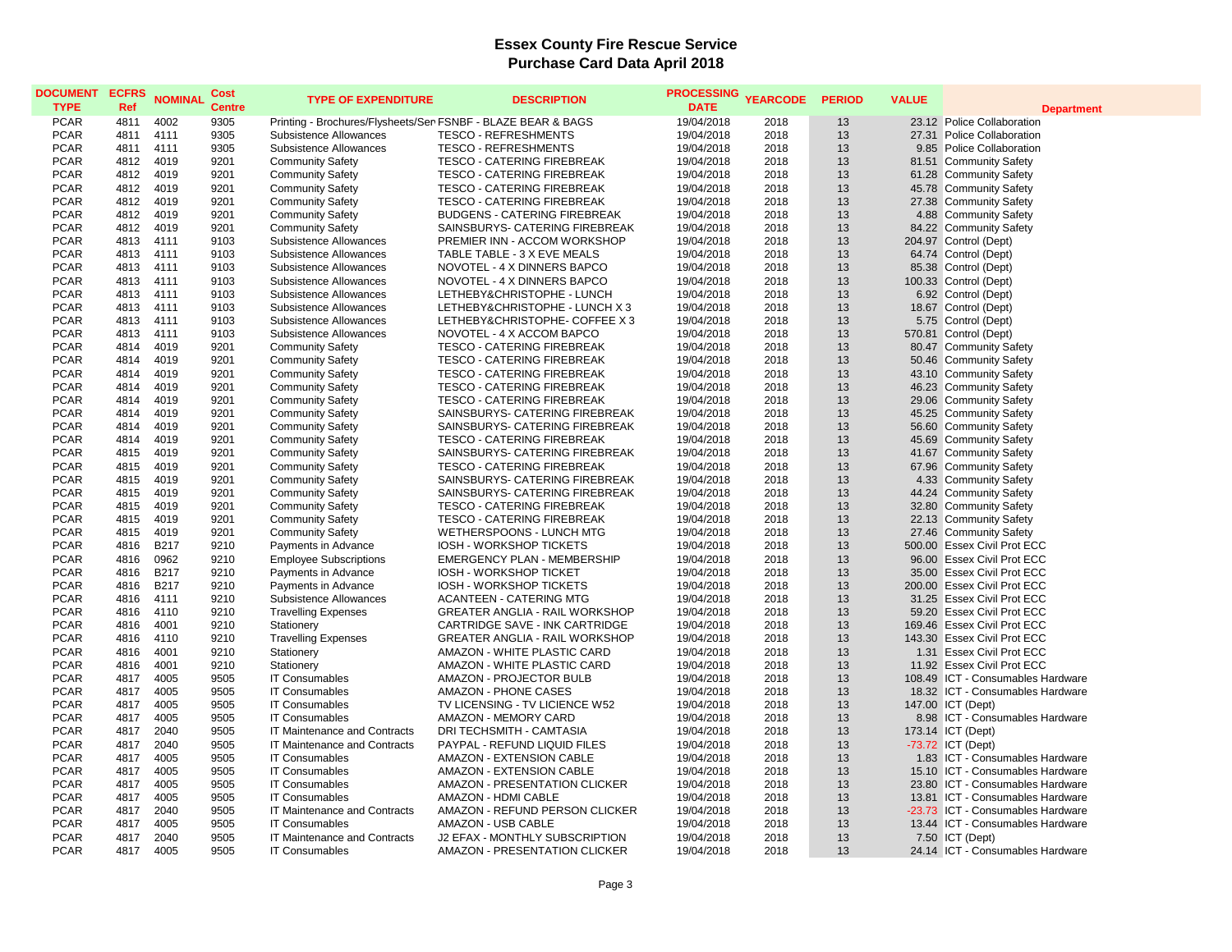| <b>DOCUMENT</b><br><b>TYPE</b> | <b>ECFRS</b><br>Ref | <b>NOMINAL</b> | Cost<br><b>Centre</b> | <b>TYPE OF EXPENDITURE</b>                                   | <b>DESCRIPTION</b>                    | <b>PROCESSING</b><br><b>DATE</b> | <b>YEARCODE</b> | <b>PERIOD</b> | <b>VALUE</b> | <b>Department</b>                 |
|--------------------------------|---------------------|----------------|-----------------------|--------------------------------------------------------------|---------------------------------------|----------------------------------|-----------------|---------------|--------------|-----------------------------------|
| <b>PCAR</b>                    | 4811                | 4002           | 9305                  | Printing - Brochures/Flysheets/Ser FSNBF - BLAZE BEAR & BAGS |                                       | 19/04/2018                       | 2018            | 13            |              | 23.12 Police Collaboration        |
| <b>PCAR</b>                    | 4811                | 4111           | 9305                  | Subsistence Allowances                                       | <b>TESCO - REFRESHMENTS</b>           | 19/04/2018                       | 2018            | 13            |              | 27.31 Police Collaboration        |
| <b>PCAR</b>                    | 4811                | 4111           | 9305                  | Subsistence Allowances                                       | <b>TESCO - REFRESHMENTS</b>           | 19/04/2018                       | 2018            | 13            |              | 9.85 Police Collaboration         |
| <b>PCAR</b>                    | 4812                | 4019           | 9201                  | <b>Community Safety</b>                                      | <b>TESCO - CATERING FIREBREAK</b>     | 19/04/2018                       | 2018            | 13            |              | 81.51 Community Safety            |
| <b>PCAR</b>                    | 4812                | 4019           | 9201                  | <b>Community Safety</b>                                      | <b>TESCO - CATERING FIREBREAK</b>     | 19/04/2018                       | 2018            | 13            |              | 61.28 Community Safety            |
| <b>PCAR</b>                    | 4812                | 4019           | 9201                  | <b>Community Safety</b>                                      | TESCO - CATERING FIREBREAK            | 19/04/2018                       | 2018            | 13            |              | 45.78 Community Safety            |
| <b>PCAR</b>                    | 4812                | 4019           | 9201                  | <b>Community Safety</b>                                      | <b>TESCO - CATERING FIREBREAK</b>     | 19/04/2018                       | 2018            | 13            |              | 27.38 Community Safety            |
| <b>PCAR</b>                    | 4812                | 4019           | 9201                  | <b>Community Safety</b>                                      | <b>BUDGENS - CATERING FIREBREAK</b>   | 19/04/2018                       | 2018            | 13            |              | 4.88 Community Safety             |
| <b>PCAR</b>                    | 4812                | 4019           | 9201                  | <b>Community Safety</b>                                      | SAINSBURYS- CATERING FIREBREAK        | 19/04/2018                       | 2018            | 13            |              | 84.22 Community Safety            |
| <b>PCAR</b>                    | 4813                | 4111           | 9103                  | Subsistence Allowances                                       | PREMIER INN - ACCOM WORKSHOP          | 19/04/2018                       | 2018            | 13            |              | 204.97 Control (Dept)             |
| <b>PCAR</b>                    | 4813                | 4111           | 9103                  | Subsistence Allowances                                       | TABLE TABLE - 3 X EVE MEALS           | 19/04/2018                       | 2018            | 13            |              | 64.74 Control (Dept)              |
| <b>PCAR</b>                    | 4813                | 4111           | 9103                  | Subsistence Allowances                                       | NOVOTEL - 4 X DINNERS BAPCO           | 19/04/2018                       | 2018            | 13            |              | 85.38 Control (Dept)              |
| <b>PCAR</b>                    | 4813                | 4111           | 9103                  | Subsistence Allowances                                       | NOVOTEL - 4 X DINNERS BAPCO           | 19/04/2018                       | 2018            | 13            |              | 100.33 Control (Dept)             |
| <b>PCAR</b>                    | 4813                | 4111           | 9103                  | Subsistence Allowances                                       | LETHEBY&CHRISTOPHE - LUNCH            | 19/04/2018                       | 2018            | 13            |              | 6.92 Control (Dept)               |
| <b>PCAR</b>                    | 4813                | 4111           | 9103                  | Subsistence Allowances                                       | LETHEBY&CHRISTOPHE - LUNCH X 3        | 19/04/2018                       | 2018            | 13            |              | 18.67 Control (Dept)              |
| <b>PCAR</b>                    | 4813                | 4111           | 9103                  | Subsistence Allowances                                       | LETHEBY&CHRISTOPHE- COFFEE X 3        | 19/04/2018                       | 2018            | 13            |              | 5.75 Control (Dept)               |
| <b>PCAR</b>                    | 4813                | 4111           | 9103                  | Subsistence Allowances                                       | NOVOTEL - 4 X ACCOM BAPCO             | 19/04/2018                       | 2018            | 13            |              | 570.81 Control (Dept)             |
| <b>PCAR</b>                    | 4814                | 4019           | 9201                  | <b>Community Safety</b>                                      | TESCO - CATERING FIREBREAK            | 19/04/2018                       | 2018            | 13            |              | 80.47 Community Safety            |
| <b>PCAR</b>                    | 4814                | 4019           | 9201                  | <b>Community Safety</b>                                      | TESCO - CATERING FIREBREAK            | 19/04/2018                       | 2018            | 13            |              | 50.46 Community Safety            |
| <b>PCAR</b>                    | 4814                | 4019           | 9201                  | <b>Community Safety</b>                                      | <b>TESCO - CATERING FIREBREAK</b>     | 19/04/2018                       | 2018            | 13            |              | 43.10 Community Safety            |
| <b>PCAR</b>                    | 4814                | 4019           | 9201                  | <b>Community Safety</b>                                      | <b>TESCO - CATERING FIREBREAK</b>     | 19/04/2018                       | 2018            | 13            |              | 46.23 Community Safety            |
| <b>PCAR</b>                    | 4814                | 4019           | 9201                  | <b>Community Safety</b>                                      | TESCO - CATERING FIREBREAK            | 19/04/2018                       | 2018            | 13            |              | 29.06 Community Safety            |
| <b>PCAR</b>                    | 4814                | 4019           | 9201                  | <b>Community Safety</b>                                      | SAINSBURYS- CATERING FIREBREAK        | 19/04/2018                       | 2018            | 13            |              | 45.25 Community Safety            |
| <b>PCAR</b>                    | 4814                | 4019           | 9201                  | <b>Community Safety</b>                                      | SAINSBURYS- CATERING FIREBREAK        | 19/04/2018                       | 2018            | 13            |              | 56.60 Community Safety            |
| <b>PCAR</b>                    | 4814                | 4019           | 9201                  | <b>Community Safety</b>                                      | <b>TESCO - CATERING FIREBREAK</b>     | 19/04/2018                       | 2018            | 13            |              | 45.69 Community Safety            |
| <b>PCAR</b>                    | 4815                | 4019           | 9201                  | <b>Community Safety</b>                                      | SAINSBURYS- CATERING FIREBREAK        | 19/04/2018                       | 2018            | 13            |              | 41.67 Community Safety            |
| <b>PCAR</b>                    | 4815                | 4019           | 9201                  | <b>Community Safety</b>                                      | <b>TESCO - CATERING FIREBREAK</b>     | 19/04/2018                       | 2018            | 13            |              | 67.96 Community Safety            |
| <b>PCAR</b>                    | 4815                | 4019           | 9201                  | <b>Community Safety</b>                                      | SAINSBURYS- CATERING FIREBREAK        | 19/04/2018                       | 2018            | 13            |              | 4.33 Community Safety             |
| <b>PCAR</b>                    | 4815                | 4019           | 9201                  | <b>Community Safety</b>                                      | SAINSBURYS- CATERING FIREBREAK        | 19/04/2018                       | 2018            | 13            |              | 44.24 Community Safety            |
| <b>PCAR</b>                    | 4815                | 4019           | 9201                  | <b>Community Safety</b>                                      | <b>TESCO - CATERING FIREBREAK</b>     | 19/04/2018                       | 2018            | 13            |              | 32.80 Community Safety            |
| <b>PCAR</b>                    | 4815                | 4019           | 9201                  | <b>Community Safety</b>                                      | <b>TESCO - CATERING FIREBREAK</b>     | 19/04/2018                       | 2018            | 13            |              | 22.13 Community Safety            |
| <b>PCAR</b>                    | 4815                | 4019           | 9201                  | <b>Community Safety</b>                                      | WETHERSPOONS - LUNCH MTG              | 19/04/2018                       | 2018            | 13            |              | 27.46 Community Safety            |
| <b>PCAR</b>                    | 4816                | <b>B217</b>    | 9210                  | Payments in Advance                                          | IOSH - WORKSHOP TICKETS               | 19/04/2018                       | 2018            | 13            |              | 500.00 Essex Civil Prot ECC       |
| <b>PCAR</b>                    | 4816                | 0962           | 9210                  | <b>Employee Subscriptions</b>                                | <b>EMERGENCY PLAN - MEMBERSHIP</b>    | 19/04/2018                       | 2018            | 13            |              | 96.00 Essex Civil Prot ECC        |
| <b>PCAR</b>                    | 4816                | <b>B217</b>    | 9210                  | Payments in Advance                                          | IOSH - WORKSHOP TICKET                | 19/04/2018                       | 2018            | 13            |              | 35.00 Essex Civil Prot ECC        |
| <b>PCAR</b>                    | 4816                | B217           | 9210                  | Payments in Advance                                          | IOSH - WORKSHOP TICKETS               | 19/04/2018                       | 2018            | 13            |              | 200.00 Essex Civil Prot ECC       |
| <b>PCAR</b>                    | 4816                | 4111           | 9210                  | Subsistence Allowances                                       | <b>ACANTEEN - CATERING MTG</b>        | 19/04/2018                       | 2018            | 13            |              | 31.25 Essex Civil Prot ECC        |
| <b>PCAR</b>                    | 4816                | 4110           | 9210                  | <b>Travelling Expenses</b>                                   | <b>GREATER ANGLIA - RAIL WORKSHOP</b> | 19/04/2018                       | 2018            | 13            |              | 59.20 Essex Civil Prot ECC        |
| <b>PCAR</b>                    | 4816                | 4001           | 9210                  | Stationery                                                   | CARTRIDGE SAVE - INK CARTRIDGE        | 19/04/2018                       | 2018            | 13            |              | 169.46 Essex Civil Prot ECC       |
| <b>PCAR</b>                    | 4816                | 4110           | 9210                  | <b>Travelling Expenses</b>                                   | GREATER ANGLIA - RAIL WORKSHOP        | 19/04/2018                       | 2018            | 13            |              | 143.30 Essex Civil Prot ECC       |
| <b>PCAR</b>                    | 4816                | 4001           | 9210                  | Stationery                                                   | AMAZON - WHITE PLASTIC CARD           | 19/04/2018                       | 2018            | 13            |              | 1.31 Essex Civil Prot ECC         |
| <b>PCAR</b>                    | 4816                | 4001           | 9210                  | Stationery                                                   | AMAZON - WHITE PLASTIC CARD           | 19/04/2018                       | 2018            | 13            |              | 11.92 Essex Civil Prot ECC        |
| <b>PCAR</b>                    | 4817                | 4005           | 9505                  | <b>IT Consumables</b>                                        | AMAZON - PROJECTOR BULB               | 19/04/2018                       | 2018            | 13            |              | 108.49 ICT - Consumables Hardware |
| <b>PCAR</b>                    | 4817                | 4005           | 9505                  | <b>IT Consumables</b>                                        | AMAZON - PHONE CASES                  | 19/04/2018                       | 2018            | 13            |              | 18.32 ICT - Consumables Hardware  |
| <b>PCAR</b>                    | 4817                | 4005           | 9505                  | <b>IT Consumables</b>                                        | TV LICENSING - TV LICIENCE W52        | 19/04/2018                       | 2018            | 13            |              | 147.00 ICT (Dept)                 |
| <b>PCAR</b>                    | 4817                | 4005           | 9505                  | <b>IT Consumables</b>                                        | <b>AMAZON - MEMORY CARD</b>           | 19/04/2018                       | 2018            | 13            |              | 8.98 ICT - Consumables Hardware   |
| <b>PCAR</b>                    | 4817                | 2040           | 9505                  | IT Maintenance and Contracts                                 | DRI TECHSMITH - CAMTASIA              | 19/04/2018                       | 2018            | 13            |              | 173.14 ICT (Dept)                 |
| <b>PCAR</b>                    | 4817                | 2040           | 9505                  | IT Maintenance and Contracts                                 | PAYPAL - REFUND LIQUID FILES          | 19/04/2018                       | 2018            | 13            |              | $-73.72$ ICT (Dept)               |
| <b>PCAR</b>                    | 4817                | 4005           | 9505                  | <b>IT Consumables</b>                                        | AMAZON - EXTENSION CABLE              | 19/04/2018                       | 2018            | 13            |              | 1.83 ICT - Consumables Hardware   |
| <b>PCAR</b>                    | 4817                | 4005           | 9505                  | <b>IT Consumables</b>                                        | AMAZON - EXTENSION CABLE              | 19/04/2018                       | 2018            | 13            |              | 15.10 ICT - Consumables Hardware  |
| <b>PCAR</b>                    | 4817                | 4005           | 9505                  | <b>IT Consumables</b>                                        | AMAZON - PRESENTATION CLICKER         | 19/04/2018                       | 2018            | 13            |              | 23.80 ICT - Consumables Hardware  |
| <b>PCAR</b>                    | 4817                | 4005           | 9505                  | <b>IT Consumables</b>                                        | AMAZON - HDMI CABLE                   | 19/04/2018                       | 2018            | 13            |              | 13.81 ICT - Consumables Hardware  |
| <b>PCAR</b>                    | 4817                | 2040           | 9505                  | IT Maintenance and Contracts                                 | AMAZON - REFUND PERSON CLICKER        | 19/04/2018                       | 2018            | 13            |              | -23.73 ICT - Consumables Hardware |
| <b>PCAR</b>                    | 4817                | 4005           | 9505                  | <b>IT Consumables</b>                                        | AMAZON - USB CABLE                    | 19/04/2018                       | 2018            | 13            |              | 13.44 ICT - Consumables Hardware  |
| <b>PCAR</b>                    | 4817                | 2040           | 9505                  | IT Maintenance and Contracts                                 | J2 EFAX - MONTHLY SUBSCRIPTION        | 19/04/2018                       | 2018            | 13            |              | 7.50 ICT (Dept)                   |
| <b>PCAR</b>                    | 4817                | 4005           | 9505                  | <b>IT Consumables</b>                                        | AMAZON - PRESENTATION CLICKER         | 19/04/2018                       | 2018            | 13            |              | 24.14 ICT - Consumables Hardware  |